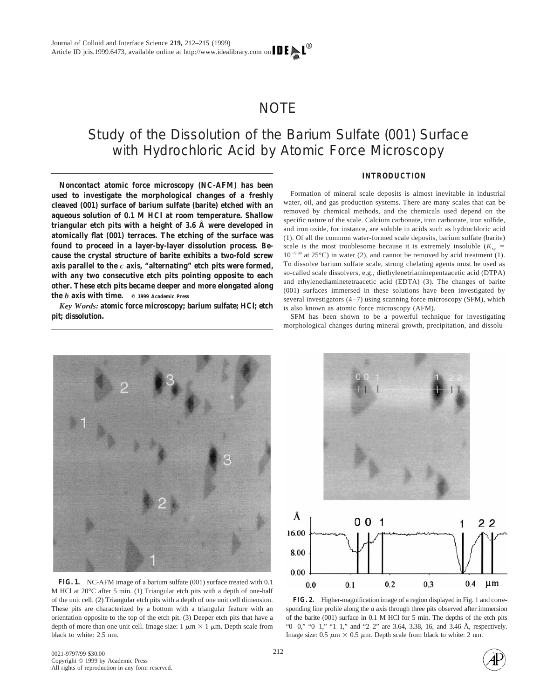## NOTE

# Study of the Dissolution of the Barium Sulfate (001) Surface with Hydrochloric Acid by Atomic Force Microscopy

**Noncontact atomic force microscopy (NC-AFM) has been used to investigate the morphological changes of a freshly cleaved (001) surface of barium sulfate (barite) etched with an aqueous solution of 0.1 M HCl at room temperature. Shallow triangular etch pits with a height of 3.6 Å were developed in atomically flat (001) terraces. The etching of the surface was found to proceed in a layer-by-layer dissolution process. Because the crystal structure of barite exhibits a two-fold screw axis parallel to the** *c* **axis, "alternating" etch pits were formed, with any two consecutive etch pits pointing opposite to each other. These etch pits became deeper and more elongated along the** *b* **axis with time. © 1999 Academic Press**

*Key Words:* **atomic force microscopy; barium sulfate; HCl; etch pit; dissolution.**

### **INTRODUCTION**

Formation of mineral scale deposits is almost inevitable in industrial water, oil, and gas production systems. There are many scales that can be removed by chemical methods, and the chemicals used depend on the specific nature of the scale. Calcium carbonate, iron carbonate, iron sulfide, and iron oxide, for instance, are soluble in acids such as hydrochloric acid (1). Of all the common water-formed scale deposits, barium sulfate (barite) scale is the most troublesome because it is extremely insoluble  $(K_{sp} =$  $10^{-9.99}$  at 25°C) in water (2), and cannot be removed by acid treatment (1). To dissolve barium sulfate scale, strong chelating agents must be used as so-called scale dissolvers, e.g., diethylenetriaminepentaacetic acid (DTPA) and ethylenediaminetetraacetic acid (EDTA) (3). The changes of barite (001) surfaces immersed in these solutions have been investigated by several investigators (4–7) using scanning force microscopy (SFM), which is also known as atomic force microscopy (AFM).

SFM has been shown to be a powerful technique for investigating morphological changes during mineral growth, precipitation, and dissolu-



**FIG. 1.** NC-AFM image of a barium sulfate (001) surface treated with 0.1 M HCl at 20°C after 5 min. (1) Triangular etch pits with a depth of one-half of the unit cell. (2) Triangular etch pits with a depth of one unit cell dimension. These pits are characterized by a bottom with a triangular feature with an orientation opposite to the top of the etch pit. (3) Deeper etch pits that have a depth of more than one unit cell. Image size:  $1 \mu m \times 1 \mu m$ . Depth scale from black to white: 2.5 nm.



**FIG. 2.** Higher-magnification image of a region displayed in Fig. 1 and corresponding line profile along the *a* axis through three pits observed after immersion of the barite (001) surface in 0.1 M HCl for 5 min. The depths of the etch pits " $0-0$ ," " $0-1$ ," " $1-1$ ," and " $2-2$ " are 3.64, 3.38, 16, and 3.46 Å, respectively. Image size:  $0.5 \mu m \times 0.5 \mu m$ . Depth scale from black to white: 2 nm.

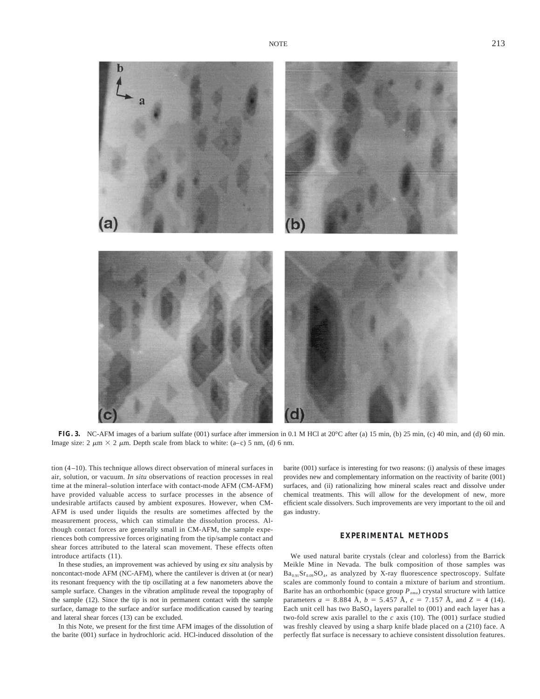

**FIG. 3.** NC-AFM images of a barium sulfate (001) surface after immersion in 0.1 M HCl at 20°C after (a) 15 min, (b) 25 min, (c) 40 min, and (d) 60 min. Image size: 2  $\mu$ m  $\times$  2  $\mu$ m. Depth scale from black to white: (a–c) 5 nm, (d) 6 nm.

tion (4–10). This technique allows direct observation of mineral surfaces in air, solution, or vacuum. *In situ* observations of reaction processes in real time at the mineral–solution interface with contact-mode AFM (CM-AFM) have provided valuable access to surface processes in the absence of undesirable artifacts caused by ambient exposures. However, when CM-AFM is used under liquids the results are sometimes affected by the measurement process, which can stimulate the dissolution process. Although contact forces are generally small in CM-AFM, the sample experiences both compressive forces originating from the tip/sample contact and shear forces attributed to the lateral scan movement. These effects often introduce artifacts (11).

In these studies, an improvement was achieved by using *ex situ* analysis by noncontact-mode AFM (NC-AFM), where the cantilever is driven at (or near) its resonant frequency with the tip oscillating at a few nanometers above the sample surface. Changes in the vibration amplitude reveal the topography of the sample (12). Since the tip is not in permanent contact with the sample surface, damage to the surface and/or surface modification caused by tearing and lateral shear forces (13) can be excluded.

In this Note, we present for the first time AFM images of the dissolution of the barite (001) surface in hydrochloric acid. HCl-induced dissolution of the

barite (001) surface is interesting for two reasons: (i) analysis of these images provides new and complementary information on the reactivity of barite (001) surfaces, and (ii) rationalizing how mineral scales react and dissolve under chemical treatments. This will allow for the development of new, more efficient scale dissolvers. Such improvements are very important to the oil and gas industry.

#### **EXPERIMENTAL METHODS**

We used natural barite crystals (clear and colorless) from the Barrick Meikle Mine in Nevada. The bulk composition of those samples was  $Ba_{0.91}Sr_{0.09}SO_4$ , as analyzed by X-ray fluorescence spectroscopy. Sulfate scales are commonly found to contain a mixture of barium and strontium. Barite has an orthorhombic (space group  $P_{nma}$ ) crystal structure with lattice parameters  $a = 8.884 \text{ Å}$ ,  $b = 5.457 \text{ Å}$ ,  $c = 7.157 \text{ Å}$ , and  $Z = 4$  (14). Each unit cell has two  $BaSO<sub>4</sub>$  layers parallel to (001) and each layer has a two-fold screw axis parallel to the  $c$  axis (10). The (001) surface studied was freshly cleaved by using a sharp knife blade placed on a (210) face. A perfectly flat surface is necessary to achieve consistent dissolution features.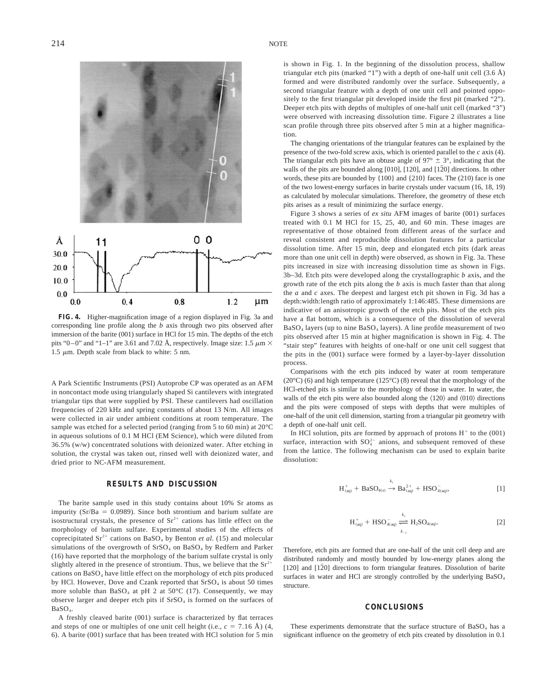

**FIG. 4.** Higher-magnification image of a region displayed in Fig. 3a and corresponding line profile along the *b* axis through two pits observed after immersion of the barite (001) surface in HCl for 15 min. The depths of the etch pits "0–0" and "1–1" are 3.61 and 7.02 Å, respectively. Image size: 1.5  $\mu$ m  $\times$ 1.5  $\mu$ m. Depth scale from black to white: 5 nm.

A Park Scientific Instruments (PSI) Autoprobe CP was operated as an AFM in noncontact mode using triangularly shaped Si cantilevers with integrated triangular tips that were supplied by PSI. These cantilevers had oscillation frequencies of 220 kHz and spring constants of about 13 N/m. All images were collected in air under ambient conditions at room temperature. The sample was etched for a selected period (ranging from 5 to 60 min) at 20°C in aqueous solutions of 0.1 M HCl (EM Science), which were diluted from 36.5% (w/w) concentrated solutions with deionized water. After etching in solution, the crystal was taken out, rinsed well with deionized water, and dried prior to NC-AFM measurement.

#### **RESULTS AND DISCUSSION**

The barite sample used in this study contains about 10% Sr atoms as impurity ( $Sr/Ba = 0.0989$ ). Since both strontium and barium sulfate are isostructural crystals, the presence of  $Sr^{2+}$  cations has little effect on the morphology of barium sulfate. Experimental studies of the effects of coprecipitated  $Sr^{2+}$  cations on BaSO<sub>4</sub> by Benton *et al.* (15) and molecular simulations of the overgrowth of  $SrSO<sub>4</sub>$  on  $BaSO<sub>4</sub>$  by Redfern and Parker (16) have reported that the morphology of the barium sulfate crystal is only slightly altered in the presence of strontium. Thus, we believe that the  $Sr^{2+}$ cations on  $BaSO<sub>4</sub>$  have little effect on the morphology of etch pits produced by HCl. However, Dove and Czank reported that  $SrSO<sub>4</sub>$  is about 50 times more soluble than  $BaSO<sub>4</sub>$  at pH 2 at 50 $^{\circ}$ C (17). Consequently, we may observe larger and deeper etch pits if  $SrSO<sub>4</sub>$  is formed on the surfaces of BaSO4.

A freshly cleaved barite (001) surface is characterized by flat terraces and steps of one or multiples of one unit cell height (i.e.,  $c = 7.16 \text{ Å}$ ) (4, 6). A barite (001) surface that has been treated with HCl solution for 5 min is shown in Fig. 1. In the beginning of the dissolution process, shallow triangular etch pits (marked "1") with a depth of one-half unit cell  $(3.6 \text{ Å})$ formed and were distributed randomly over the surface. Subsequently, a second triangular feature with a depth of one unit cell and pointed oppositely to the first triangular pit developed inside the first pit (marked "2"). Deeper etch pits with depths of multiples of one-half unit cell (marked "3") were observed with increasing dissolution time. Figure 2 illustrates a line scan profile through three pits observed after 5 min at a higher magnification.

The changing orientations of the triangular features can be explained by the presence of the two-fold screw axis, which is oriented parallel to the *c* axis (4). The triangular etch pits have an obtuse angle of  $97^{\circ} \pm 3^{\circ}$ , indicating that the walls of the pits are bounded along [010], [120], and  $[1\overline{2}0]$  directions. In other words, these pits are bounded by {100} and {210} faces. The (210) face is one of the two lowest-energy surfaces in barite crystals under vacuum (16, 18, 19) as calculated by molecular simulations. Therefore, the geometry of these etch pits arises as a result of minimizing the surface energy.

Figure 3 shows a series of *ex situ* AFM images of barite (001) surfaces treated with 0.1 M HCl for 15, 25, 40, and 60 min. These images are representative of those obtained from different areas of the surface and reveal consistent and reproducible dissolution features for a particular dissolution time. After 15 min, deep and elongated etch pits (dark areas more than one unit cell in depth) were observed, as shown in Fig. 3a. These pits increased in size with increasing dissolution time as shown in Figs. 3b–3d. Etch pits were developed along the crystallographic *b* axis, and the growth rate of the etch pits along the *b* axis is much faster than that along the *a* and *c* axes. The deepest and largest etch pit shown in Fig. 3d has a depth:width:length ratio of approximately 1:146:485. These dimensions are indicative of an anisotropic growth of the etch pits. Most of the etch pits have a flat bottom, which is a consequence of the dissolution of several  $BaSO<sub>4</sub>$  layers (up to nine  $BaSO<sub>4</sub>$  layers). A line profile measurement of two pits observed after 15 min at higher magnification is shown in Fig. 4. The "stair step" features with heights of one-half or one unit cell suggest that the pits in the (001) surface were formed by a layer-by-layer dissolution process.

Comparisons with the etch pits induced by water at room temperature  $(20^{\circ}$ C) (6) and high temperature (125 $^{\circ}$ C) (8) reveal that the morphology of the HCl-etched pits is similar to the morphology of those in water. In water, the walls of the etch pits were also bounded along the  $\langle 120 \rangle$  and  $\langle 010 \rangle$  directions and the pits were composed of steps with depths that were multiples of one-half of the unit cell dimension, starting from a triangular pit geometry with a depth of one-half unit cell.

In HCl solution, pits are formed by approach of protons  $H^+$  to the (001) surface, interaction with  $SO_4^{2-}$  anions, and subsequent removed of these from the lattice. The following mechanism can be used to explain barite dissolution:

$$
H_{(aq)}^{+} + BaSO_{4(s)} \xrightarrow{k_1} Ba_{(aq)}^{2+} + HSO_{4(aq)}^{-},
$$
 [1]

$$
H_{(aq)}^+ + HSO_{4(aq)}^- \stackrel{k_2}{\rightleftharpoons} H_2SO_{4(aq)}.
$$
 [2]

Therefore, etch pits are formed that are one-half of the unit cell deep and are distributed randomly and mostly bounded by low-energy planes along the [120] and  $[1\overline{2}0]$  directions to form triangular features. Dissolution of barite surfaces in water and HCl are strongly controlled by the underlying BaSO<sub>4</sub> structure.

#### **CONCLUSIONS**

These experiments demonstrate that the surface structure of  $BaSO<sub>4</sub>$  has a significant influence on the geometry of etch pits created by dissolution in 0.1